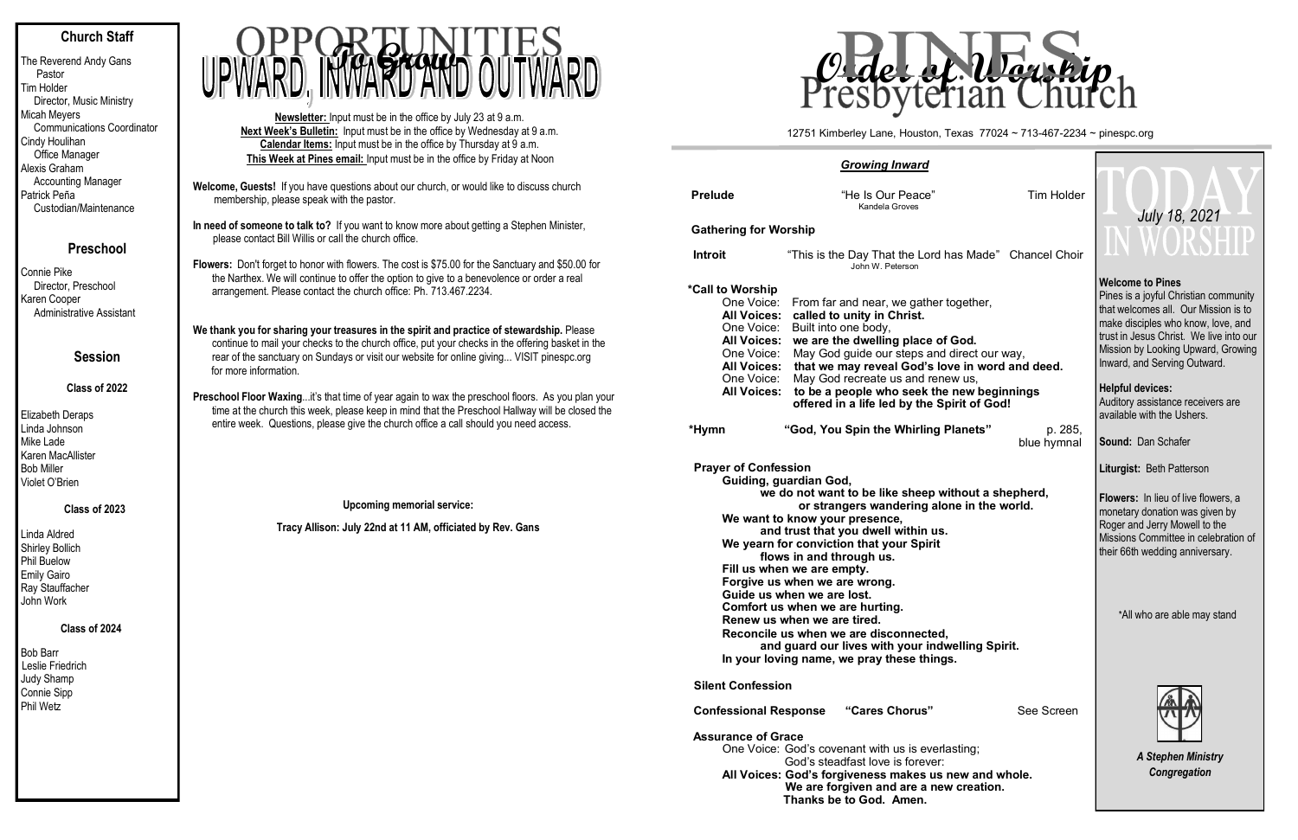## **Church Staff**

The Reverend Andy Gans Pastor Tim Holder Director, Music Ministry Micah Meyers Communications Coordinator Cindy Houlihan Office Manager Alexis Graham Accounting Manager Patrick Peña Custodian/Maintenance

## **Preschool**

Connie Pike Director, Preschool Karen Cooper Administrative Assistant

## **Session**

#### **Class of 2022**

Elizabeth Deraps Linda Johnson Mike Lade Karen MacAllister Bob Miller Violet O'Brien

#### **Class of 2023**

Linda Aldred Shirley Bollich Phil Buelow Emily Gairo Ray Stauffacher John Work

#### **Class of 2024**

Bob Barr Leslie Friedrich Judy Shamp Connie Sipp Phil Wetz

- **Welcome, Guests!** If you have questions about our church, or would like to discuss church membership, please speak with the pastor.
- **In need of someone to talk to?** If you want to know more about getting a Stephen Minister, please contact Bill Willis or call the church office.
- **Flowers:** Don't forget to honor with flowers. The cost is \$75.00 for the Sanctuary and \$50.00 for the Narthex. We will continue to offer the option to give to a benevolence or order a real arrangement. Please contact the church office: Ph. 713.467.2234.
- **We thank you for sharing your treasures in the spirit and practice of stewardship.** Please continue to mail your checks to the church office, put your checks in the offering basket in the rear of the sanctuary on Sundays or visit our website for online giving... VISIT pinespc.org for more information.
- **Preschool Floor Waxing**...it's that time of year again to wax the preschool floors. As you plan your time at the church this week, please keep in mind that the Preschool Hallway will be closed the entire week. Questions, please give the church office a call should you need access.

**Upcoming memorial service:**

**Tracy Allison: July 22nd at 11 AM, officiated by Rev. Gans**

**Newsletter:** Input must be in the office by July 23 at 9 a.m. **Next Week's Bulletin:** Input must be in the office by Wednesday at 9 a.m. **Calendar Items:** Input must be in the office by Thursday at 9 a.m. **This Week at Pines email:** Input must be in the office by Friday at Noon



| <b>Growing Inward</b>                                                                                                                                                                                                                                                                                                                                                                                                                                                                                                                                                                                                                              |                                                                                                                                                                                                                                                                                                                                                                                                                                                                                                         |                                                        |                        |  |  |  |  |  |  |
|----------------------------------------------------------------------------------------------------------------------------------------------------------------------------------------------------------------------------------------------------------------------------------------------------------------------------------------------------------------------------------------------------------------------------------------------------------------------------------------------------------------------------------------------------------------------------------------------------------------------------------------------------|---------------------------------------------------------------------------------------------------------------------------------------------------------------------------------------------------------------------------------------------------------------------------------------------------------------------------------------------------------------------------------------------------------------------------------------------------------------------------------------------------------|--------------------------------------------------------|------------------------|--|--|--|--|--|--|
| <b>Prelude</b>                                                                                                                                                                                                                                                                                                                                                                                                                                                                                                                                                                                                                                     | "He Is Our Peace"<br>Kandela Groves                                                                                                                                                                                                                                                                                                                                                                                                                                                                     |                                                        | Tim Holder             |  |  |  |  |  |  |
| <b>Gathering for Worship</b>                                                                                                                                                                                                                                                                                                                                                                                                                                                                                                                                                                                                                       |                                                                                                                                                                                                                                                                                                                                                                                                                                                                                                         |                                                        |                        |  |  |  |  |  |  |
| <b>Introit</b>                                                                                                                                                                                                                                                                                                                                                                                                                                                                                                                                                                                                                                     |                                                                                                                                                                                                                                                                                                                                                                                                                                                                                                         | "This is the Day That the Lord has Made" Chancel Choir |                        |  |  |  |  |  |  |
| *Call to Worship<br>One Voice:                                                                                                                                                                                                                                                                                                                                                                                                                                                                                                                                                                                                                     | From far and near, we gather together,<br><b>All Voices:</b><br>called to unity in Christ.<br>Built into one body,<br>One Voice:<br>we are the dwelling place of God.<br><b>All Voices:</b><br>One Voice:<br>May God guide our steps and direct our way,<br>that we may reveal God's love in word and deed.<br><b>All Voices:</b><br>May God recreate us and renew us,<br>One Voice:<br>to be a people who seek the new beginnings<br><b>All Voices:</b><br>offered in a life led by the Spirit of God! |                                                        |                        |  |  |  |  |  |  |
| *Hymn                                                                                                                                                                                                                                                                                                                                                                                                                                                                                                                                                                                                                                              |                                                                                                                                                                                                                                                                                                                                                                                                                                                                                                         | "God, You Spin the Whirling Planets"                   | p. 285,<br>blue hymnal |  |  |  |  |  |  |
| <b>Prayer of Confession</b><br>Guiding, guardian God,<br>we do not want to be like sheep without a shepherd,<br>or strangers wandering alone in the world.<br>We want to know your presence,<br>and trust that you dwell within us.<br>We yearn for conviction that your Spirit<br>flows in and through us.<br>Fill us when we are empty.<br>Forgive us when we are wrong.<br>Guide us when we are lost.<br>Comfort us when we are hurting.<br>Renew us when we are tired.<br>Reconcile us when we are disconnected,<br>and guard our lives with your indwelling Spirit.<br>In your loving name, we pray these things.<br><b>Silent Confession</b> |                                                                                                                                                                                                                                                                                                                                                                                                                                                                                                         |                                                        |                        |  |  |  |  |  |  |
| <b>Confessional Response</b>                                                                                                                                                                                                                                                                                                                                                                                                                                                                                                                                                                                                                       |                                                                                                                                                                                                                                                                                                                                                                                                                                                                                                         | "Cares Chorus"                                         | See Screen             |  |  |  |  |  |  |
|                                                                                                                                                                                                                                                                                                                                                                                                                                                                                                                                                                                                                                                    |                                                                                                                                                                                                                                                                                                                                                                                                                                                                                                         |                                                        |                        |  |  |  |  |  |  |

#### **Assurance of Grace**

One Voice: God's covenant with us is everlasting; God's steadfast love is forever: **All Voices: God's forgiveness makes us new and whole. We are forgiven and are a new creation. Thanks be to God. Amen.** 

### **Welcome to Pines**

Pines is a joyful Christian community that welcomes all. Our Mission is to make disciples who know, love, and trust in Jesus Christ. We live into our Mission by Looking Upward, Growing Inward, and Serving Outward.

#### **Helpful devices:**

Auditory assistance receivers are available with the Ushers.

**Sound:** Dan Schafer

**Liturgist:** Beth Patterson

**Flowers:** In lieu of live flowers, a monetary donation was given by Roger and Jerry Mowell to the Missions Committee in celebration of their 66th wedding anniversary.

\*All who are able may stand



*A Stephen Ministry Congregation*

12751 Kimberley Lane, Houston, Texas 77024 ~ 713-467-2234 ~ pinespc.org

**Tim Holder**